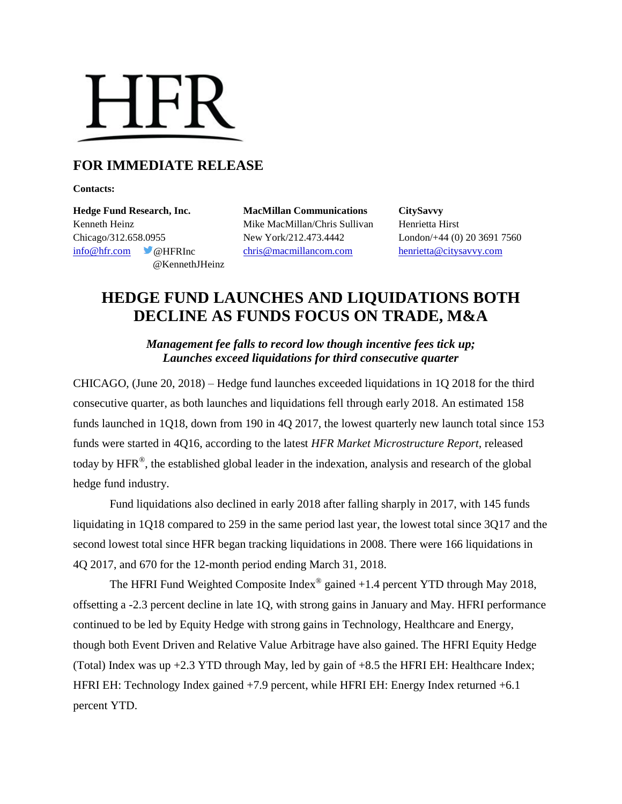

## **FOR IMMEDIATE RELEASE**

**Contacts:**

Kenneth Heinz Mike MacMillan/Chris Sullivan Henrietta Hirst Chicago/312.658.0955 New York/212.473.4442 London/+44 (0) 20 3691 7560 [info@hfr.com](mailto:info@hfr.com) @HFRInc [chris@macmillancom.com](mailto:chris@macmillancom.com) [henrietta@citysavvy.com](mailto:henrietta@citysavvy.com) @KennethJHeinz

**Hedge Fund Research, Inc. MacMillan Communications CitySavvy**

# **HEDGE FUND LAUNCHES AND LIQUIDATIONS BOTH DECLINE AS FUNDS FOCUS ON TRADE, M&A**

*Management fee falls to record low though incentive fees tick up; Launches exceed liquidations for third consecutive quarter*

CHICAGO, (June 20, 2018) – Hedge fund launches exceeded liquidations in 1Q 2018 for the third consecutive quarter, as both launches and liquidations fell through early 2018. An estimated 158 funds launched in 1Q18, down from 190 in 4Q 2017, the lowest quarterly new launch total since 153 funds were started in 4Q16, according to the latest *HFR Market Microstructure Report,* released today by HFR<sup>®</sup>, the established global leader in the indexation, analysis and research of the global hedge fund industry.

Fund liquidations also declined in early 2018 after falling sharply in 2017, with 145 funds liquidating in 1Q18 compared to 259 in the same period last year, the lowest total since 3Q17 and the second lowest total since HFR began tracking liquidations in 2008. There were 166 liquidations in 4Q 2017, and 670 for the 12-month period ending March 31, 2018.

The HFRI Fund Weighted Composite Index<sup>®</sup> gained  $+1.4$  percent YTD through May 2018, offsetting a -2.3 percent decline in late 1Q, with strong gains in January and May. HFRI performance continued to be led by Equity Hedge with strong gains in Technology, Healthcare and Energy, though both Event Driven and Relative Value Arbitrage have also gained. The HFRI Equity Hedge (Total) Index was up +2.3 YTD through May, led by gain of +8.5 the HFRI EH: Healthcare Index; HFRI EH: Technology Index gained +7.9 percent, while HFRI EH: Energy Index returned +6.1 percent YTD.